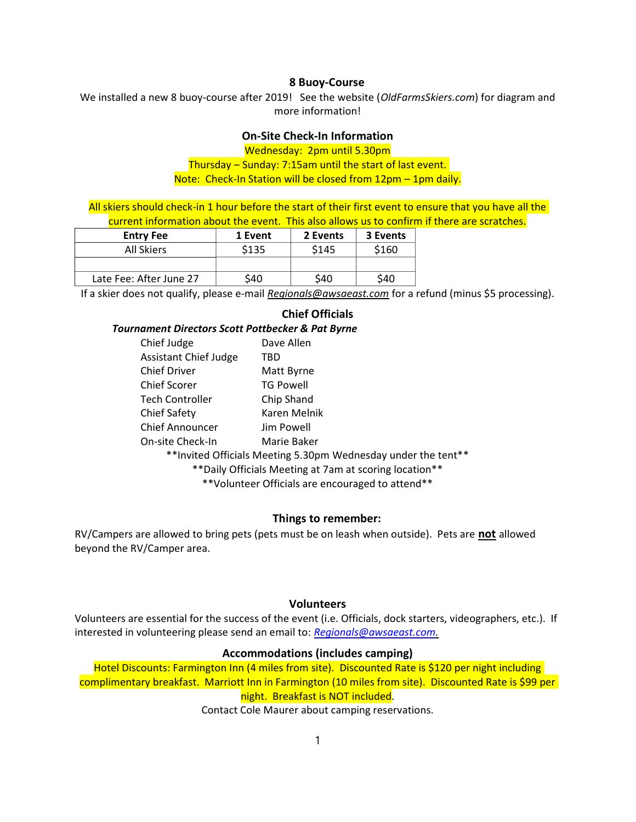#### 8 Buoy-Course

We installed a new 8 buoy-course after 2019! See the website (OldFarmsSkiers.com) for diagram and more information!

# On-Site Check-In Information

Wednesday: 2pm until 5.30pm

Thursday – Sunday: 7:15am until the start of last event. Note: Check-In Station will be closed from 12pm – 1pm daily.

All skiers should check-in 1 hour before the start of their first event to ensure that you have all the current information about the event. This also allows us to confirm if there are scratches.

| <b>Entry Fee</b>        | 1 Event | 2 Events | 3 Events |
|-------------------------|---------|----------|----------|
| All Skiers              | \$135   | \$145    | \$160    |
|                         |         |          |          |
| Late Fee: After June 27 | S40     | \$40     | \$40     |

If a skier does not qualify, please e-mail Regionals@awsaeast.com for a refund (minus \$5 processing).

## Chief Officials

Tournament Directors Scott Pottbecker & Pat Byrne

| Chief Judge                                   | Dave Allen       |  |  |
|-----------------------------------------------|------------------|--|--|
| <b>Assistant Chief Judge</b>                  | TBD              |  |  |
| <b>Chief Driver</b>                           | Matt Byrne       |  |  |
| <b>Chief Scorer</b>                           | <b>TG Powell</b> |  |  |
| <b>Tech Controller</b>                        | Chip Shand       |  |  |
| <b>Chief Safety</b>                           | Karen Melnik     |  |  |
| <b>Chief Announcer</b>                        | Jim Powell       |  |  |
| On-site Check-In                              | Marie Baker      |  |  |
| **Invited Officials Meeting 5, 20nm Wednesday |                  |  |  |

\*\*Invited Officials Meeting 5.30pm Wednesday under the tent\*\*

\*\*Daily Officials Meeting at 7am at scoring location\*\*

\*\*Volunteer Officials are encouraged to attend\*\*

## Things to remember:

RV/Campers are allowed to bring pets (pets must be on leash when outside). Pets are not allowed beyond the RV/Camper area.

#### Volunteers

Volunteers are essential for the success of the event (i.e. Officials, dock starters, videographers, etc.). If interested in volunteering please send an email to: Regionals@awsaeast.com.

#### Accommodations (includes camping)

Hotel Discounts: Farmington Inn (4 miles from site). Discounted Rate is \$120 per night including complimentary breakfast. Marriott Inn in Farmington (10 miles from site). Discounted Rate is \$99 per night. Breakfast is NOT included.

Contact Cole Maurer about camping reservations.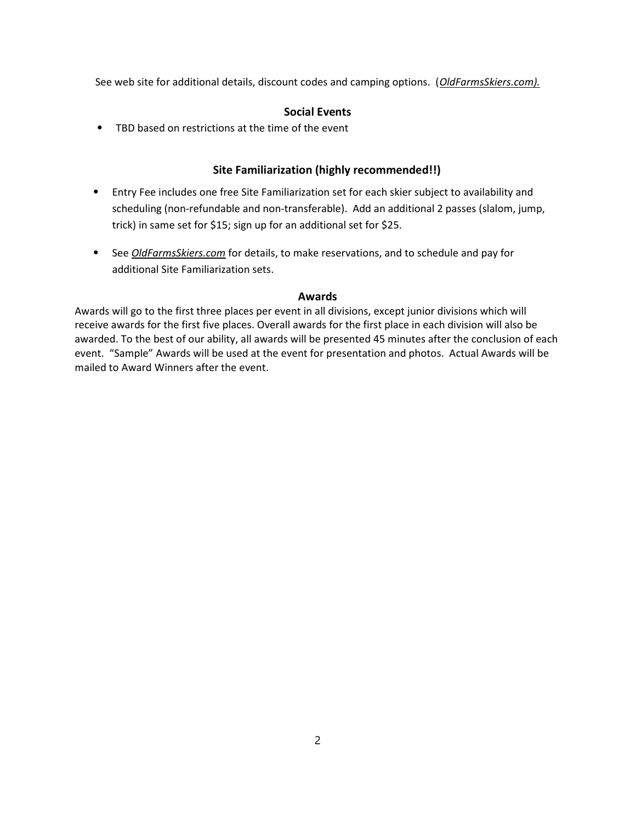See web site for additional details, discount codes and camping options. (OldFarmsSkiers.com).

## Social Events

⦁ TBD based on restrictions at the time of the event

## Site Familiarization (highly recommended!!)

- ⦁ Entry Fee includes one free Site Familiarization set for each skier subject to availability and scheduling (non-refundable and non-transferable). Add an additional 2 passes (slalom, jump, trick) in same set for \$15; sign up for an additional set for \$25.
- See *OldFarmsSkiers.com* for details, to make reservations, and to schedule and pay for additional Site Familiarization sets.

## Awards

Awards will go to the first three places per event in all divisions, except junior divisions which will receive awards for the first five places. Overall awards for the first place in each division will also be awarded. To the best of our ability, all awards will be presented 45 minutes after the conclusion of each event. "Sample" Awards will be used at the event for presentation and photos. Actual Awards will be mailed to Award Winners after the event.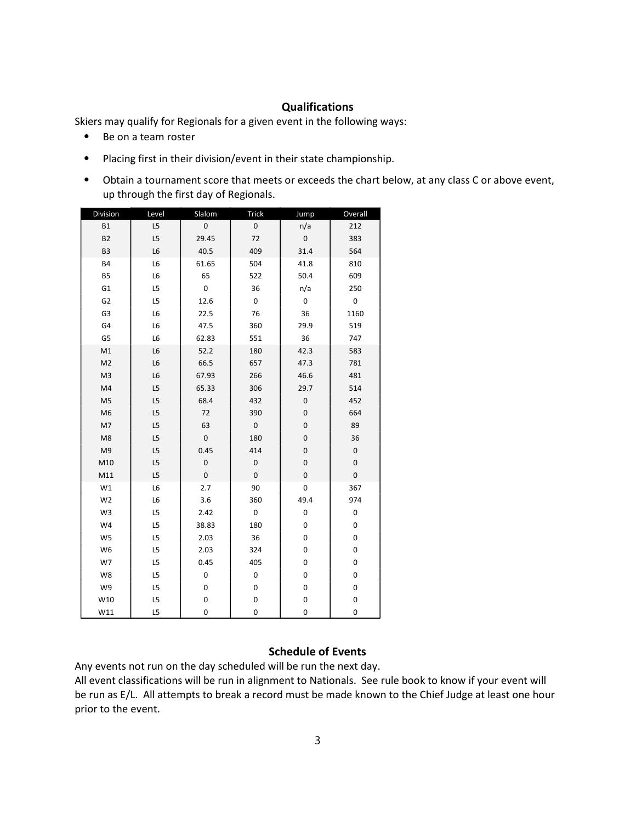### **Qualifications**

Skiers may qualify for Regionals for a given event in the following ways:

- ⦁ Be on a team roster
- ⦁ Placing first in their division/event in their state championship.
- ⦁ Obtain a tournament score that meets or exceeds the chart below, at any class C or above event, up through the first day of Regionals.

| Division       | Level | Slalom              | <b>Trick</b>        | Jump      | Overall   |
|----------------|-------|---------------------|---------------------|-----------|-----------|
| <b>B1</b>      | L5    | 0                   | $\mathsf{O}\xspace$ | n/a       | 212       |
| <b>B2</b>      | L5    | 29.45               | 72                  | 0         | 383       |
| B <sub>3</sub> | L6    | 40.5                | 409                 | 31.4      | 564       |
| <b>B4</b>      | L6    | 61.65               | 504                 | 41.8      | 810       |
| <b>B5</b>      | L6    | 65                  | 522                 | 50.4      | 609       |
| G <sub>1</sub> | L5    | 0                   | 36                  | n/a       | 250       |
| G <sub>2</sub> | L5    | 12.6                | 0                   | 0         | 0         |
| G3             | L6    | 22.5                | 76                  | 36        | 1160      |
| G4             | L6    | 47.5                | 360                 | 29.9      | 519       |
| G5             | L6    | 62.83               | 551                 | 36        | 747       |
| M1             | L6    | 52.2                | 180                 | 42.3      | 583       |
| M <sub>2</sub> | L6    | 66.5                | 657                 | 47.3      | 781       |
| M <sub>3</sub> | L6    | 67.93               | 266                 | 46.6      | 481       |
| M <sub>4</sub> | L5    | 65.33               | 306                 | 29.7      | 514       |
| M <sub>5</sub> | L5    | 68.4                | 432                 | $\pmb{0}$ | 452       |
| M <sub>6</sub> | L5    | 72                  | 390                 | 0         | 664       |
| M7             | L5    | 63                  | $\mathsf{O}\xspace$ | 0         | 89        |
| M8             | L5    | $\mathsf{O}\xspace$ | 180                 | 0         | 36        |
| M9             | L5    | 0.45                | 414                 | 0         | 0         |
| M10            | L5    | 0                   | 0                   | 0         | $\pmb{0}$ |
| M11            | L5    | 0                   | $\mathsf{O}\xspace$ | 0         | $\pmb{0}$ |
| W1             | L6    | 2.7                 | 90                  | 0         | 367       |
| W <sub>2</sub> | L6    | 3.6                 | 360                 | 49.4      | 974       |
| W3             | L5    | 2.42                | $\pmb{0}$           | 0         | $\pmb{0}$ |
| W4             | L5    | 38.83               | 180                 | 0         | 0         |
| W5             | L5    | 2.03                | 36                  | 0         | $\pmb{0}$ |
| W <sub>6</sub> | L5    | 2.03                | 324                 | 0         | $\pmb{0}$ |
| W7             | L5    | 0.45                | 405                 | 0         | $\pmb{0}$ |
| W8             | L5    | 0                   | 0                   | 0         | $\pmb{0}$ |
| W9             | L5    | 0                   | 0                   | 0         | $\pmb{0}$ |
| W10            | L5    | 0                   | 0                   | 0         | 0         |
| W11            | L5    | 0                   | 0                   | 0         | 0         |

### Schedule of Events

Any events not run on the day scheduled will be run the next day.

All event classifications will be run in alignment to Nationals. See rule book to know if your event will be run as E/L. All attempts to break a record must be made known to the Chief Judge at least one hour prior to the event.